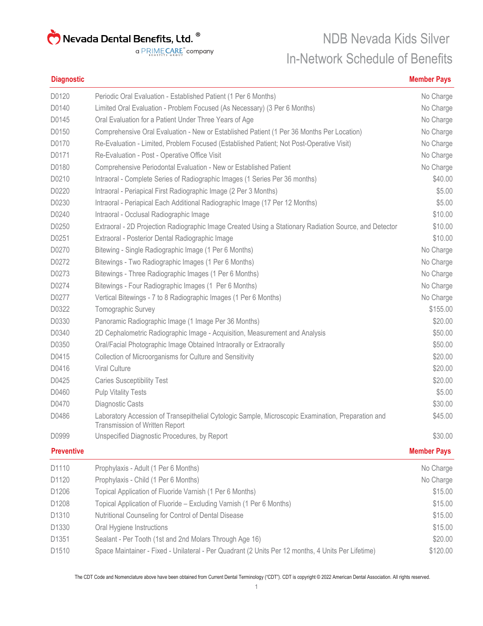a PRIMECARE<sup>"</sup> company

### NDB Nevada Kids Silver In-Network Schedule of Benefits

#### **Diagnostic Member Pays**

| D0120             | Periodic Oral Evaluation - Established Patient (1 Per 6 Months)                                                                      | No Charge          |
|-------------------|--------------------------------------------------------------------------------------------------------------------------------------|--------------------|
| D0140             | Limited Oral Evaluation - Problem Focused (As Necessary) (3 Per 6 Months)                                                            | No Charge          |
| D0145             | Oral Evaluation for a Patient Under Three Years of Age                                                                               | No Charge          |
| D0150             | Comprehensive Oral Evaluation - New or Established Patient (1 Per 36 Months Per Location)                                            | No Charge          |
| D0170             | Re-Evaluation - Limited, Problem Focused (Established Patient; Not Post-Operative Visit)                                             | No Charge          |
| D0171             | Re-Evaluation - Post - Operative Office Visit                                                                                        | No Charge          |
| D0180             | Comprehensive Periodontal Evaluation - New or Established Patient                                                                    | No Charge          |
| D0210             | Intraoral - Complete Series of Radiographic Images (1 Series Per 36 months)                                                          | \$40.00            |
| D0220             | Intraoral - Periapical First Radiographic Image (2 Per 3 Months)                                                                     | \$5.00             |
| D0230             | Intraoral - Periapical Each Additional Radiographic Image (17 Per 12 Months)                                                         | \$5.00             |
| D0240             | Intraoral - Occlusal Radiographic Image                                                                                              | \$10.00            |
| D0250             | Extraoral - 2D Projection Radiographic Image Created Using a Stationary Radiation Source, and Detector                               | \$10.00            |
| D0251             | Extraoral - Posterior Dental Radiographic Image                                                                                      | \$10.00            |
| D0270             | Bitewing - Single Radiographic Image (1 Per 6 Months)                                                                                | No Charge          |
| D0272             | Bitewings - Two Radiographic Images (1 Per 6 Months)                                                                                 | No Charge          |
| D0273             | Bitewings - Three Radiographic Images (1 Per 6 Months)                                                                               | No Charge          |
| D0274             | Bitewings - Four Radiographic Images (1 Per 6 Months)                                                                                | No Charge          |
| D0277             | Vertical Bitewings - 7 to 8 Radiographic Images (1 Per 6 Months)                                                                     | No Charge          |
| D0322             | Tomographic Survey                                                                                                                   | \$155.00           |
| D0330             | Panoramic Radiographic Image (1 Image Per 36 Months)                                                                                 | \$20.00            |
| D0340             | 2D Cephalometric Radiographic Image - Acquisition, Measurement and Analysis                                                          | \$50.00            |
| D0350             | Oral/Facial Photographic Image Obtained Intraorally or Extraorally                                                                   | \$50.00            |
| D0415             | Collection of Microorganisms for Culture and Sensitivity                                                                             | \$20.00            |
| D0416             | Viral Culture                                                                                                                        | \$20.00            |
| D0425             | <b>Caries Susceptibility Test</b>                                                                                                    | \$20.00            |
| D0460             | <b>Pulp Vitality Tests</b>                                                                                                           | \$5.00             |
| D0470             | Diagnostic Casts                                                                                                                     | \$30.00            |
| D0486             | Laboratory Accession of Transepithelial Cytologic Sample, Microscopic Examination, Preparation and<br>Transmission of Written Report | \$45.00            |
| D0999             | Unspecified Diagnostic Procedures, by Report                                                                                         | \$30.00            |
| <b>Preventive</b> |                                                                                                                                      | <b>Member Pays</b> |

| D1110             | Prophylaxis - Adult (1 Per 6 Months)                                                               | No Charge |
|-------------------|----------------------------------------------------------------------------------------------------|-----------|
| D1120             | Prophylaxis - Child (1 Per 6 Months)                                                               | No Charge |
| D1206             | Topical Application of Fluoride Varnish (1 Per 6 Months)                                           | \$15.00   |
| D1208             | Topical Application of Fluoride – Excluding Varnish (1 Per 6 Months)                               | \$15.00   |
| D <sub>1310</sub> | Nutritional Counseling for Control of Dental Disease                                               | \$15.00   |
| D1330             | Oral Hygiene Instructions                                                                          | \$15.00   |
| D <sub>1351</sub> | Sealant - Per Tooth (1st and 2nd Molars Through Age 16)                                            | \$20.00   |
| D <sub>1510</sub> | Space Maintainer - Fixed - Unilateral - Per Quadrant (2 Units Per 12 months, 4 Units Per Lifetime) | \$120.00  |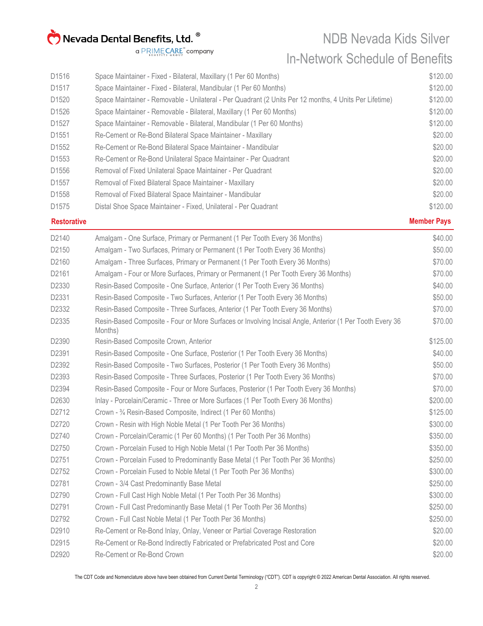NDB Nevada Kids Silver In-Network Schedule of Benefits

a PRIMECARE<sup>"</sup> company

| D1516             | Space Maintainer - Fixed - Bilateral, Maxillary (1 Per 60 Months)                                      | \$120.00 |
|-------------------|--------------------------------------------------------------------------------------------------------|----------|
| D1517             | Space Maintainer - Fixed - Bilateral, Mandibular (1 Per 60 Months)                                     | \$120.00 |
| D <sub>1520</sub> | Space Maintainer - Removable - Unilateral - Per Quadrant (2 Units Per 12 months, 4 Units Per Lifetime) | \$120.00 |
| D1526             | Space Maintainer - Removable - Bilateral, Maxillary (1 Per 60 Months)                                  | \$120.00 |
| D <sub>1527</sub> | Space Maintainer - Removable - Bilateral, Mandibular (1 Per 60 Months)                                 | \$120.00 |
| D <sub>1551</sub> | Re-Cement or Re-Bond Bilateral Space Maintainer - Maxillary                                            | \$20.00  |
| D1552             | Re-Cement or Re-Bond Bilateral Space Maintainer - Mandibular                                           | \$20.00  |
| D <sub>1553</sub> | Re-Cement or Re-Bond Unilateral Space Maintainer - Per Quadrant                                        | \$20.00  |
| D1556             | Removal of Fixed Unilateral Space Maintainer - Per Quadrant                                            | \$20.00  |
| D <sub>1557</sub> | Removal of Fixed Bilateral Space Maintainer - Maxillary                                                | \$20.00  |
| D1558             | Removal of Fixed Bilateral Space Maintainer - Mandibular                                               | \$20.00  |
| D <sub>1575</sub> | Distal Shoe Space Maintainer - Fixed, Unilateral - Per Quadrant                                        | \$120.00 |

**Restorative Member Pays**

| D2140 | Amalgam - One Surface, Primary or Permanent (1 Per Tooth Every 36 Months)                                           | \$40.00  |
|-------|---------------------------------------------------------------------------------------------------------------------|----------|
| D2150 | Amalgam - Two Surfaces, Primary or Permanent (1 Per Tooth Every 36 Months)                                          | \$50.00  |
| D2160 | Amalgam - Three Surfaces, Primary or Permanent (1 Per Tooth Every 36 Months)                                        | \$70.00  |
| D2161 | Amalgam - Four or More Surfaces, Primary or Permanent (1 Per Tooth Every 36 Months)                                 | \$70.00  |
| D2330 | Resin-Based Composite - One Surface, Anterior (1 Per Tooth Every 36 Months)                                         | \$40.00  |
| D2331 | Resin-Based Composite - Two Surfaces, Anterior (1 Per Tooth Every 36 Months)                                        | \$50.00  |
| D2332 | Resin-Based Composite - Three Surfaces, Anterior (1 Per Tooth Every 36 Months)                                      | \$70.00  |
| D2335 | Resin-Based Composite - Four or More Surfaces or Involving Incisal Angle, Anterior (1 Per Tooth Every 36<br>Months) | \$70.00  |
| D2390 | Resin-Based Composite Crown, Anterior                                                                               | \$125.00 |
| D2391 | Resin-Based Composite - One Surface, Posterior (1 Per Tooth Every 36 Months)                                        | \$40.00  |
| D2392 | Resin-Based Composite - Two Surfaces, Posterior (1 Per Tooth Every 36 Months)                                       | \$50.00  |
| D2393 | Resin-Based Composite - Three Surfaces, Posterior (1 Per Tooth Every 36 Months)                                     | \$70.00  |
| D2394 | Resin-Based Composite - Four or More Surfaces, Posterior (1 Per Tooth Every 36 Months)                              | \$70.00  |
| D2630 | Inlay - Porcelain/Ceramic - Three or More Surfaces (1 Per Tooth Every 36 Months)                                    | \$200.00 |
| D2712 | Crown - 3/4 Resin-Based Composite, Indirect (1 Per 60 Months)                                                       | \$125.00 |
| D2720 | Crown - Resin with High Noble Metal (1 Per Tooth Per 36 Months)                                                     | \$300.00 |
| D2740 | Crown - Porcelain/Ceramic (1 Per 60 Months) (1 Per Tooth Per 36 Months)                                             | \$350.00 |
| D2750 | Crown - Porcelain Fused to High Noble Metal (1 Per Tooth Per 36 Months)                                             | \$350.00 |
| D2751 | Crown - Porcelain Fused to Predominantly Base Metal (1 Per Tooth Per 36 Months)                                     | \$250.00 |
| D2752 | Crown - Porcelain Fused to Noble Metal (1 Per Tooth Per 36 Months)                                                  | \$300.00 |
| D2781 | Crown - 3/4 Cast Predominantly Base Metal                                                                           | \$250.00 |
| D2790 | Crown - Full Cast High Noble Metal (1 Per Tooth Per 36 Months)                                                      | \$300.00 |
| D2791 | Crown - Full Cast Predominantly Base Metal (1 Per Tooth Per 36 Months)                                              | \$250.00 |
| D2792 | Crown - Full Cast Noble Metal (1 Per Tooth Per 36 Months)                                                           | \$250.00 |
| D2910 | Re-Cement or Re-Bond Inlay, Onlay, Veneer or Partial Coverage Restoration                                           | \$20.00  |
| D2915 | Re-Cement or Re-Bond Indirectly Fabricated or Prefabricated Post and Core                                           | \$20.00  |
| D2920 | Re-Cement or Re-Bond Crown                                                                                          | \$20.00  |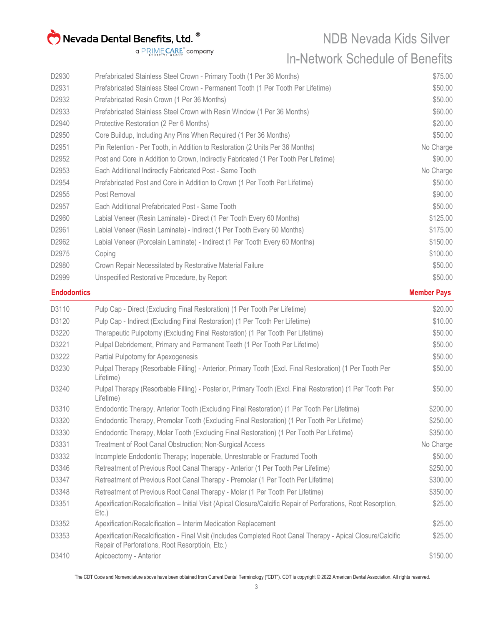NDB Nevada Kids Silver In-Network Schedule of Benefits

a PRIMECARE<sup>"</sup> company

| D2930              | Prefabricated Stainless Steel Crown - Primary Tooth (1 Per 36 Months)                                                                                           | \$75.00            |
|--------------------|-----------------------------------------------------------------------------------------------------------------------------------------------------------------|--------------------|
| D2931              | Prefabricated Stainless Steel Crown - Permanent Tooth (1 Per Tooth Per Lifetime)                                                                                | \$50.00            |
| D2932              | Prefabricated Resin Crown (1 Per 36 Months)                                                                                                                     | \$50.00            |
| D2933              | Prefabricated Stainless Steel Crown with Resin Window (1 Per 36 Months)                                                                                         | \$60.00            |
| D2940              | Protective Restoration (2 Per 6 Months)                                                                                                                         | \$20.00            |
| D2950              | Core Buildup, Including Any Pins When Required (1 Per 36 Months)                                                                                                | \$50.00            |
| D2951              | Pin Retention - Per Tooth, in Addition to Restoration (2 Units Per 36 Months)                                                                                   | No Charge          |
| D2952              | Post and Core in Addition to Crown, Indirectly Fabricated (1 Per Tooth Per Lifetime)                                                                            | \$90.00            |
| D2953              | Each Additional Indirectly Fabricated Post - Same Tooth                                                                                                         | No Charge          |
| D2954              | Prefabricated Post and Core in Addition to Crown (1 Per Tooth Per Lifetime)                                                                                     | \$50.00            |
| D2955              | Post Removal                                                                                                                                                    | \$90.00            |
| D2957              | Each Additional Prefabricated Post - Same Tooth                                                                                                                 | \$50.00            |
| D2960              | Labial Veneer (Resin Laminate) - Direct (1 Per Tooth Every 60 Months)                                                                                           | \$125.00           |
| D2961              | Labial Veneer (Resin Laminate) - Indirect (1 Per Tooth Every 60 Months)                                                                                         | \$175.00           |
| D2962              | Labial Veneer (Porcelain Laminate) - Indirect (1 Per Tooth Every 60 Months)                                                                                     | \$150.00           |
| D2975              | Coping                                                                                                                                                          | \$100.00           |
| D2980              | Crown Repair Necessitated by Restorative Material Failure                                                                                                       | \$50.00            |
| D2999              | Unspecified Restorative Procedure, by Report                                                                                                                    | \$50.00            |
| <b>Endodontics</b> |                                                                                                                                                                 | <b>Member Pays</b> |
| D3110              | Pulp Cap - Direct (Excluding Final Restoration) (1 Per Tooth Per Lifetime)                                                                                      | \$20.00            |
| D3120              | Pulp Cap - Indirect (Excluding Final Restoration) (1 Per Tooth Per Lifetime)                                                                                    | \$10.00            |
| D3220              | Therapeutic Pulpotomy (Excluding Final Restoration) (1 Per Tooth Per Lifetime)                                                                                  | \$50.00            |
| D3221              | Pulpal Debridement, Primary and Permanent Teeth (1 Per Tooth Per Lifetime)                                                                                      | \$50.00            |
| D3222              | Partial Pulpotomy for Apexogenesis                                                                                                                              | \$50.00            |
| D3230              | Pulpal Therapy (Resorbable Filling) - Anterior, Primary Tooth (Excl. Final Restoration) (1 Per Tooth Per<br>Lifetime)                                           | \$50.00            |
| D3240              | Pulpal Therapy (Resorbable Filling) - Posterior, Primary Tooth (Excl. Final Restoration) (1 Per Tooth Per<br>Lifetime)                                          | \$50.00            |
| D3310              | Endodontic Therapy, Anterior Tooth (Excluding Final Restoration) (1 Per Tooth Per Lifetime)                                                                     | \$200.00           |
| D3320              | Endodontic Therapy, Premolar Tooth (Excluding Final Restoration) (1 Per Tooth Per Lifetime)                                                                     | \$250.00           |
| D3330              | Endodontic Therapy, Molar Tooth (Excluding Final Restoration) (1 Per Tooth Per Lifetime)                                                                        | \$350.00           |
| D3331              | <b>Treatment of Root Canal Obstruction; Non-Surgical Access</b>                                                                                                 | No Charge          |
| D3332              | Incomplete Endodontic Therapy; Inoperable, Unrestorable or Fractured Tooth                                                                                      | \$50.00            |
| D3346              | Retreatment of Previous Root Canal Therapy - Anterior (1 Per Tooth Per Lifetime)                                                                                | \$250.00           |
| D3347              | Retreatment of Previous Root Canal Therapy - Premolar (1 Per Tooth Per Lifetime)                                                                                | \$300.00           |
| D3348              | Retreatment of Previous Root Canal Therapy - Molar (1 Per Tooth Per Lifetime)                                                                                   | \$350.00           |
| D3351              | Apexification/Recalcification - Initial Visit (Apical Closure/Calcific Repair of Perforations, Root Resorption,<br>$Etc.$ )                                     | \$25.00            |
| D3352              | Apexification/Recalcification - Interim Medication Replacement                                                                                                  | \$25.00            |
| D3353              | Apexification/Recalcification - Final Visit (Includes Completed Root Canal Therapy - Apical Closure/Calcific<br>Repair of Perforations, Root Resorptioin, Etc.) | \$25.00            |

D3410 Apicoectomy - Anterior **\$150.00**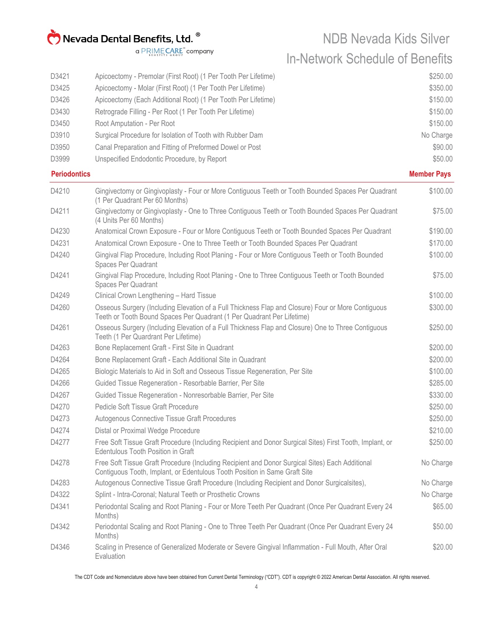| D3421<br>D3425<br>D3426<br>D3430<br>D3450<br>D3910<br>D3950<br>D3999 | Apicoectomy - Premolar (First Root) (1 Per Tooth Per Lifetime)<br>Apicoectomy - Molar (First Root) (1 Per Tooth Per Lifetime)<br>Apicoectomy (Each Additional Root) (1 Per Tooth Per Lifetime)<br>Retrograde Filling - Per Root (1 Per Tooth Per Lifetime)<br>Root Amputation - Per Root<br>Surgical Procedure for Isolation of Tooth with Rubber Dam<br>Canal Preparation and Fitting of Preformed Dowel or Post<br>Unspecified Endodontic Procedure, by Report | \$250.00<br>\$350.00<br>\$150.00<br>\$150.00<br>\$150.00<br>No Charge<br>\$90.00<br>\$50.00 |
|----------------------------------------------------------------------|------------------------------------------------------------------------------------------------------------------------------------------------------------------------------------------------------------------------------------------------------------------------------------------------------------------------------------------------------------------------------------------------------------------------------------------------------------------|---------------------------------------------------------------------------------------------|
| <b>Periodontics</b>                                                  |                                                                                                                                                                                                                                                                                                                                                                                                                                                                  | <b>Member Pays</b>                                                                          |
| D4210                                                                | Gingivectomy or Gingivoplasty - Four or More Contiguous Teeth or Tooth Bounded Spaces Per Quadrant<br>(1 Per Quadrant Per 60 Months)                                                                                                                                                                                                                                                                                                                             | \$100.00                                                                                    |
| D4211                                                                | Gingivectomy or Gingivoplasty - One to Three Contiguous Teeth or Tooth Bounded Spaces Per Quadrant<br>(4 Units Per 60 Months)                                                                                                                                                                                                                                                                                                                                    | \$75.00                                                                                     |
| D4230                                                                | Anatomical Crown Exposure - Four or More Contiguous Teeth or Tooth Bounded Spaces Per Quadrant                                                                                                                                                                                                                                                                                                                                                                   | \$190.00                                                                                    |
| D4231                                                                | Anatomical Crown Exposure - One to Three Teeth or Tooth Bounded Spaces Per Quadrant                                                                                                                                                                                                                                                                                                                                                                              | \$170.00                                                                                    |
| D4240                                                                | Gingival Flap Procedure, Including Root Planing - Four or More Contiguous Teeth or Tooth Bounded<br>Spaces Per Quadrant                                                                                                                                                                                                                                                                                                                                          | \$100.00                                                                                    |
| D4241                                                                | Gingival Flap Procedure, Including Root Planing - One to Three Contiguous Teeth or Tooth Bounded<br>Spaces Per Quadrant                                                                                                                                                                                                                                                                                                                                          | \$75.00                                                                                     |
| D4249                                                                | Clinical Crown Lengthening - Hard Tissue                                                                                                                                                                                                                                                                                                                                                                                                                         | \$100.00                                                                                    |
| D4260                                                                | Osseous Surgery (Including Elevation of a Full Thickness Flap and Closure) Four or More Contiguous<br>Teeth or Tooth Bound Spaces Per Quadrant (1 Per Quadrant Per Lifetime)                                                                                                                                                                                                                                                                                     | \$300.00                                                                                    |
| D4261                                                                | Osseous Surgery (Including Elevation of a Full Thickness Flap and Closure) One to Three Contiguous<br>Teeth (1 Per Quardrant Per Lifetime)                                                                                                                                                                                                                                                                                                                       | \$250.00                                                                                    |
| D4263                                                                | Bone Replacement Graft - First Site in Quadrant                                                                                                                                                                                                                                                                                                                                                                                                                  | \$200.00                                                                                    |
| D4264                                                                | Bone Replacement Graft - Each Additional Site in Quadrant                                                                                                                                                                                                                                                                                                                                                                                                        | \$200.00                                                                                    |
| D4265                                                                | Biologic Materials to Aid in Soft and Osseous Tissue Regeneration, Per Site                                                                                                                                                                                                                                                                                                                                                                                      | \$100.00                                                                                    |
| D4266                                                                | Guided Tissue Regeneration - Resorbable Barrier, Per Site                                                                                                                                                                                                                                                                                                                                                                                                        | \$285.00                                                                                    |
| D4267                                                                | Guided Tissue Regeneration - Nonresorbable Barrier, Per Site                                                                                                                                                                                                                                                                                                                                                                                                     | \$330.00                                                                                    |
| D4270                                                                | Pedicle Soft Tissue Graft Procedure                                                                                                                                                                                                                                                                                                                                                                                                                              | \$250.00                                                                                    |
| D4273                                                                | Autogenous Connective Tissue Graft Procedures                                                                                                                                                                                                                                                                                                                                                                                                                    | \$250.00                                                                                    |
| D4274                                                                | Distal or Proximal Wedge Procedure                                                                                                                                                                                                                                                                                                                                                                                                                               | \$210.00                                                                                    |
| D4277                                                                | Free Soft Tissue Graft Procedure (Including Recipient and Donor Surgical Sites) First Tooth, Implant, or<br><b>Edentulous Tooth Position in Graft</b>                                                                                                                                                                                                                                                                                                            | \$250.00                                                                                    |
| D4278                                                                | Free Soft Tissue Graft Procedure (Including Recipient and Donor Surgical Sites) Each Additional<br>Contiguous Tooth, Implant, or Edentulous Tooth Position in Same Graft Site                                                                                                                                                                                                                                                                                    | No Charge                                                                                   |
| D4283                                                                | Autogenous Connective Tissue Graft Procedure (Including Recipient and Donor Surgicalsites),                                                                                                                                                                                                                                                                                                                                                                      | No Charge                                                                                   |
| D4322                                                                | Splint - Intra-Coronal; Natural Teeth or Prosthetic Crowns                                                                                                                                                                                                                                                                                                                                                                                                       | No Charge                                                                                   |
| D4341                                                                | Periodontal Scaling and Root Planing - Four or More Teeth Per Quadrant (Once Per Quadrant Every 24<br>Months)                                                                                                                                                                                                                                                                                                                                                    | \$65.00                                                                                     |
| D4342                                                                | Periodontal Scaling and Root Planing - One to Three Teeth Per Quadrant (Once Per Quadrant Every 24<br>Months)                                                                                                                                                                                                                                                                                                                                                    | \$50.00                                                                                     |
| D4346                                                                | Scaling in Presence of Generalized Moderate or Severe Gingival Inflammation - Full Mouth, After Oral<br>Evaluation                                                                                                                                                                                                                                                                                                                                               | \$20.00                                                                                     |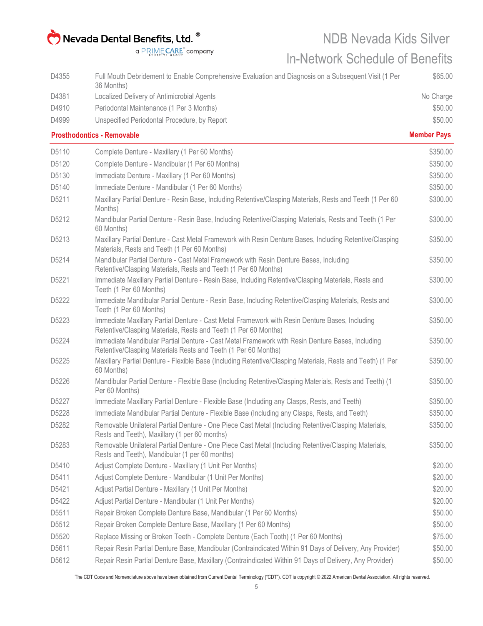a PRIMECARE<sup>"</sup> company

#### NDB Nevada Kids Silver

#### In-Network Schedule of Benefits

| D4355 | Full Mouth Debridement to Enable Comprehensive Evaluation and Diagnosis on a Subsequent Visit (1 Per                                                              | \$65.00            |
|-------|-------------------------------------------------------------------------------------------------------------------------------------------------------------------|--------------------|
| D4381 | 36 Months)<br>Localized Delivery of Antimicrobial Agents                                                                                                          | No Charge          |
| D4910 | Periodontal Maintenance (1 Per 3 Months)                                                                                                                          | \$50.00            |
| D4999 | Unspecified Periodontal Procedure, by Report                                                                                                                      | \$50.00            |
|       | <b>Prosthodontics - Removable</b>                                                                                                                                 | <b>Member Pays</b> |
| D5110 | Complete Denture - Maxillary (1 Per 60 Months)                                                                                                                    | \$350.00           |
| D5120 | Complete Denture - Mandibular (1 Per 60 Months)                                                                                                                   | \$350.00           |
| D5130 | Immediate Denture - Maxillary (1 Per 60 Months)                                                                                                                   | \$350.00           |
| D5140 | Immediate Denture - Mandibular (1 Per 60 Months)                                                                                                                  | \$350.00           |
| D5211 | Maxillary Partial Denture - Resin Base, Including Retentive/Clasping Materials, Rests and Teeth (1 Per 60<br>Months)                                              | \$300.00           |
| D5212 | Mandibular Partial Denture - Resin Base, Including Retentive/Clasping Materials, Rests and Teeth (1 Per<br>60 Months)                                             | \$300.00           |
| D5213 | Maxillary Partial Denture - Cast Metal Framework with Resin Denture Bases, Including Retentive/Clasping<br>Materials, Rests and Teeth (1 Per 60 Months)           | \$350.00           |
| D5214 | Mandibular Partial Denture - Cast Metal Framework with Resin Denture Bases, Including<br>Retentive/Clasping Materials, Rests and Teeth (1 Per 60 Months)          | \$350.00           |
| D5221 | Immediate Maxillary Partial Denture - Resin Base, Including Retentive/Clasping Materials, Rests and<br>Teeth (1 Per 60 Months)                                    | \$300.00           |
| D5222 | Immediate Mandibular Partial Denture - Resin Base, Including Retentive/Clasping Materials, Rests and<br>Teeth (1 Per 60 Months)                                   | \$300.00           |
| D5223 | Immediate Maxillary Partial Denture - Cast Metal Framework with Resin Denture Bases, Including<br>Retentive/Clasping Materials, Rests and Teeth (1 Per 60 Months) | \$350.00           |
| D5224 | Immediate Mandibular Partial Denture - Cast Metal Framework with Resin Denture Bases, Including<br>Retentive/Clasping Materials Rests and Teeth (1 Per 60 Months) | \$350.00           |
| D5225 | Maxillary Partial Denture - Flexible Base (Including Retentive/Clasping Materials, Rests and Teeth) (1 Per<br>60 Months)                                          | \$350.00           |
| D5226 | Mandibular Partial Denture - Flexible Base (Including Retentive/Clasping Materials, Rests and Teeth) (1<br>Per 60 Months)                                         | \$350.00           |
| D5227 | Immediate Maxillary Partial Denture - Flexible Base (Including any Clasps, Rests, and Teeth)                                                                      | \$350.00           |
| D5228 | Immediate Mandibular Partial Denture - Flexible Base (Including any Clasps, Rests, and Teeth)                                                                     | \$350.00           |
| D5282 | Removable Unilateral Partial Denture - One Piece Cast Metal (Including Retentive/Clasping Materials,<br>Rests and Teeth), Maxillary (1 per 60 months)             | \$350.00           |
| D5283 | Removable Unilateral Partial Denture - One Piece Cast Metal (Including Retentive/Clasping Materials,<br>Rests and Teeth), Mandibular (1 per 60 months)            | \$350.00           |
| D5410 | Adjust Complete Denture - Maxillary (1 Unit Per Months)                                                                                                           | \$20.00            |
| D5411 | Adjust Complete Denture - Mandibular (1 Unit Per Months)                                                                                                          | \$20.00            |
| D5421 | Adjust Partial Denture - Maxillary (1 Unit Per Months)                                                                                                            | \$20.00            |
| D5422 | Adjust Partial Denture - Mandibular (1 Unit Per Months)                                                                                                           | \$20.00            |
| D5511 | Repair Broken Complete Denture Base, Mandibular (1 Per 60 Months)                                                                                                 | \$50.00            |
| D5512 | Repair Broken Complete Denture Base, Maxillary (1 Per 60 Months)                                                                                                  | \$50.00            |
| D5520 | Replace Missing or Broken Teeth - Complete Denture (Each Tooth) (1 Per 60 Months)                                                                                 | \$75.00            |
| D5611 | Repair Resin Partial Denture Base, Mandibular (Contraindicated Within 91 Days of Delivery, Any Provider)                                                          | \$50.00            |
| D5612 | Repair Resin Partial Denture Base, Maxillary (Contraindicated Within 91 Days of Delivery, Any Provider)                                                           | \$50.00            |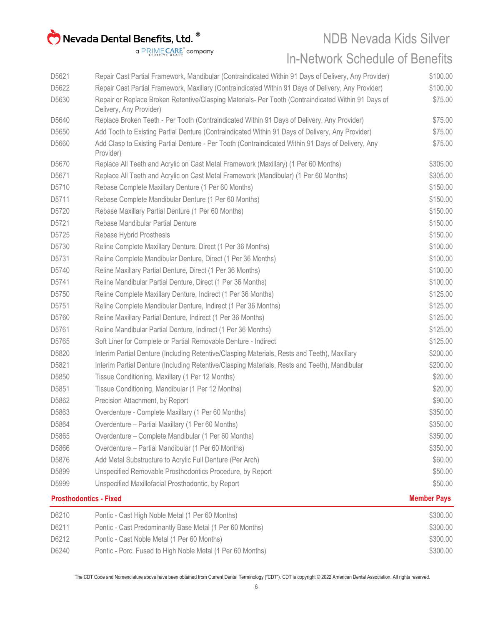NDB Nevada Kids Silver

In-Network Schedule of Benefits

a PRIMECARE<sup>"</sup> company

| D5621 | Repair Cast Partial Framework, Mandibular (Contraindicated Within 91 Days of Delivery, Any Provider)                           | \$100.00           |
|-------|--------------------------------------------------------------------------------------------------------------------------------|--------------------|
| D5622 | Repair Cast Partial Framework, Maxillary (Contraindicated Within 91 Days of Delivery, Any Provider)                            | \$100.00           |
| D5630 | Repair or Replace Broken Retentive/Clasping Materials- Per Tooth (Contraindicated Within 91 Days of<br>Delivery, Any Provider) | \$75.00            |
| D5640 | Replace Broken Teeth - Per Tooth (Contraindicated Within 91 Days of Delivery, Any Provider)                                    | \$75.00            |
| D5650 | Add Tooth to Existing Partial Denture (Contraindicated Within 91 Days of Delivery, Any Provider)                               | \$75.00            |
| D5660 | Add Clasp to Existing Partial Denture - Per Tooth (Contraindicated Within 91 Days of Delivery, Any<br>Provider)                | \$75.00            |
| D5670 | Replace All Teeth and Acrylic on Cast Metal Framework (Maxillary) (1 Per 60 Months)                                            | \$305.00           |
| D5671 | Replace All Teeth and Acrylic on Cast Metal Framework (Mandibular) (1 Per 60 Months)                                           | \$305.00           |
| D5710 | Rebase Complete Maxillary Denture (1 Per 60 Months)                                                                            | \$150.00           |
| D5711 | Rebase Complete Mandibular Denture (1 Per 60 Months)                                                                           | \$150.00           |
| D5720 | Rebase Maxillary Partial Denture (1 Per 60 Months)                                                                             | \$150.00           |
| D5721 | Rebase Mandibular Partial Denture                                                                                              | \$150.00           |
| D5725 | Rebase Hybrid Prosthesis                                                                                                       | \$150.00           |
| D5730 | Reline Complete Maxillary Denture, Direct (1 Per 36 Months)                                                                    | \$100.00           |
| D5731 | Reline Complete Mandibular Denture, Direct (1 Per 36 Months)                                                                   | \$100.00           |
| D5740 | Reline Maxillary Partial Denture, Direct (1 Per 36 Months)                                                                     | \$100.00           |
| D5741 | Reline Mandibular Partial Denture, Direct (1 Per 36 Months)                                                                    | \$100.00           |
| D5750 | Reline Complete Maxillary Denture, Indirect (1 Per 36 Months)                                                                  | \$125.00           |
| D5751 | Reline Complete Mandibular Denture, Indirect (1 Per 36 Months)                                                                 | \$125.00           |
| D5760 | Reline Maxillary Partial Denture, Indirect (1 Per 36 Months)                                                                   | \$125.00           |
| D5761 | Reline Mandibular Partial Denture, Indirect (1 Per 36 Months)                                                                  | \$125.00           |
| D5765 | Soft Liner for Complete or Partial Removable Denture - Indirect                                                                | \$125.00           |
| D5820 | Interim Partial Denture (Including Retentive/Clasping Materials, Rests and Teeth), Maxillary                                   | \$200.00           |
| D5821 | Interim Partial Denture (Including Retentive/Clasping Materials, Rests and Teeth), Mandibular                                  | \$200.00           |
| D5850 | Tissue Conditioning, Maxillary (1 Per 12 Months)                                                                               | \$20.00            |
| D5851 | Tissue Conditioning, Mandibular (1 Per 12 Months)                                                                              | \$20.00            |
| D5862 | Precision Attachment, by Report                                                                                                | \$90.00            |
| D5863 | Overdenture - Complete Maxillary (1 Per 60 Months)                                                                             | \$350.00           |
| D5864 | Overdenture - Partial Maxillary (1 Per 60 Months)                                                                              | \$350.00           |
| D5865 | Overdenture - Complete Mandibular (1 Per 60 Months)                                                                            | \$350.00           |
| D5866 | Overdenture - Partial Mandibular (1 Per 60 Months)                                                                             | \$350.00           |
| D5876 | Add Metal Substructure to Acrylic Full Denture (Per Arch)                                                                      | \$60.00            |
| D5899 | Unspecified Removable Prosthodontics Procedure, by Report                                                                      | \$50.00            |
| D5999 | Unspecified Maxillofacial Prosthodontic, by Report                                                                             | \$50.00            |
|       | <b>Prosthodontics - Fixed</b>                                                                                                  | <b>Member Pays</b> |
| D6210 | Pontic - Cast High Noble Metal (1 Per 60 Months)                                                                               | \$300.00           |
| D6211 | Pontic - Cast Predominantly Base Metal (1 Per 60 Months)                                                                       | \$300.00           |
| D6212 | Pontic - Cast Noble Metal (1 Per 60 Months)                                                                                    | \$300.00           |
| D6240 | Pontic - Porc. Fused to High Noble Metal (1 Per 60 Months)                                                                     | \$300.00           |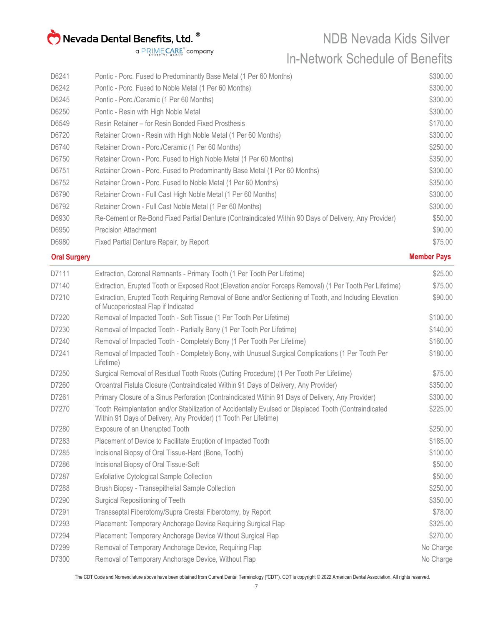NDB Nevada Kids Silver In-Network Schedule of Benefits

| D6241 | Pontic - Porc. Fused to Predominantly Base Metal (1 Per 60 Months)                                    | \$300.00 |
|-------|-------------------------------------------------------------------------------------------------------|----------|
| D6242 | Pontic - Porc. Fused to Noble Metal (1 Per 60 Months)                                                 | \$300.00 |
| D6245 | Pontic - Porc./Ceramic (1 Per 60 Months)                                                              | \$300.00 |
| D6250 | Pontic - Resin with High Noble Metal                                                                  | \$300.00 |
| D6549 | Resin Retainer – for Resin Bonded Fixed Prosthesis                                                    | \$170.00 |
| D6720 | Retainer Crown - Resin with High Noble Metal (1 Per 60 Months)                                        | \$300.00 |
| D6740 | Retainer Crown - Porc./Ceramic (1 Per 60 Months)                                                      | \$250.00 |
| D6750 | Retainer Crown - Porc. Fused to High Noble Metal (1 Per 60 Months)                                    | \$350.00 |
| D6751 | Retainer Crown - Porc. Fused to Predominantly Base Metal (1 Per 60 Months)                            | \$300.00 |
| D6752 | Retainer Crown - Porc. Fused to Noble Metal (1 Per 60 Months)                                         | \$350.00 |
| D6790 | Retainer Crown - Full Cast High Noble Metal (1 Per 60 Months)                                         | \$300.00 |
| D6792 | Retainer Crown - Full Cast Noble Metal (1 Per 60 Months)                                              | \$300.00 |
| D6930 | Re-Cement or Re-Bond Fixed Partial Denture (Contraindicated Within 90 Days of Delivery, Any Provider) | \$50.00  |
| D6950 | <b>Precision Attachment</b>                                                                           | \$90.00  |
| D6980 | Fixed Partial Denture Repair, by Report                                                               | \$75.00  |
|       |                                                                                                       |          |

#### **Oral Surgery Member Pays**

| D7111 | Extraction, Coronal Remnants - Primary Tooth (1 Per Tooth Per Lifetime)                                                                                                   | \$25.00   |
|-------|---------------------------------------------------------------------------------------------------------------------------------------------------------------------------|-----------|
| D7140 | Extraction, Erupted Tooth or Exposed Root (Elevation and/or Forceps Removal) (1 Per Tooth Per Lifetime)                                                                   | \$75.00   |
| D7210 | Extraction, Erupted Tooth Requiring Removal of Bone and/or Sectioning of Tooth, and Including Elevation<br>of Mucoperiosteal Flap if Indicated                            | \$90.00   |
| D7220 | Removal of Impacted Tooth - Soft Tissue (1 Per Tooth Per Lifetime)                                                                                                        | \$100.00  |
| D7230 | Removal of Impacted Tooth - Partially Bony (1 Per Tooth Per Lifetime)                                                                                                     | \$140.00  |
| D7240 | Removal of Impacted Tooth - Completely Bony (1 Per Tooth Per Lifetime)                                                                                                    | \$160.00  |
| D7241 | Removal of Impacted Tooth - Completely Bony, with Unusual Surgical Complications (1 Per Tooth Per<br>Lifetime)                                                            | \$180.00  |
| D7250 | Surgical Removal of Residual Tooth Roots (Cutting Procedure) (1 Per Tooth Per Lifetime)                                                                                   | \$75.00   |
| D7260 | Oroantral Fistula Closure (Contraindicated Within 91 Days of Delivery, Any Provider)                                                                                      | \$350.00  |
| D7261 | Primary Closure of a Sinus Perforation (Contraindicated Within 91 Days of Delivery, Any Provider)                                                                         | \$300.00  |
| D7270 | Tooth Reimplantation and/or Stabilization of Accidentally Evulsed or Displaced Tooth (Contraindicated<br>Within 91 Days of Delivery, Any Provider) (1 Tooth Per Lifetime) | \$225.00  |
| D7280 | Exposure of an Unerupted Tooth                                                                                                                                            | \$250.00  |
| D7283 | Placement of Device to Facilitate Eruption of Impacted Tooth                                                                                                              | \$185.00  |
| D7285 | Incisional Biopsy of Oral Tissue-Hard (Bone, Tooth)                                                                                                                       | \$100.00  |
| D7286 | Incisional Biopsy of Oral Tissue-Soft                                                                                                                                     | \$50.00   |
| D7287 | <b>Exfoliative Cytological Sample Collection</b>                                                                                                                          | \$50.00   |
| D7288 | Brush Biopsy - Transepithelial Sample Collection                                                                                                                          | \$250.00  |
| D7290 | Surgical Repositioning of Teeth                                                                                                                                           | \$350.00  |
| D7291 | Transseptal Fiberotomy/Supra Crestal Fiberotomy, by Report                                                                                                                | \$78.00   |
| D7293 | Placement: Temporary Anchorage Device Requiring Surgical Flap                                                                                                             | \$325.00  |
| D7294 | Placement: Temporary Anchorage Device Without Surgical Flap                                                                                                               | \$270.00  |
| D7299 | Removal of Temporary Anchorage Device, Requiring Flap                                                                                                                     | No Charge |
| D7300 | Removal of Temporary Anchorage Device, Without Flap                                                                                                                       | No Charge |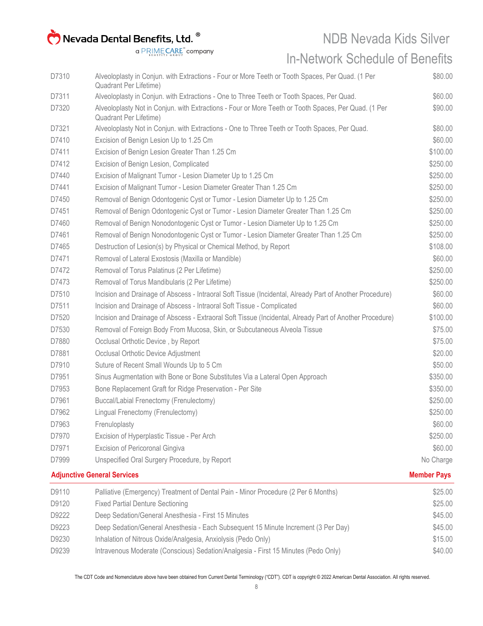NDB Nevada Kids Silver

In-Network Schedule of Benefits

| D9110 | Palliative (Emergency) Treatment of Dental Pain - Minor Procedure (2 Per 6 Months)                                             | \$25.00            |
|-------|--------------------------------------------------------------------------------------------------------------------------------|--------------------|
|       | <b>Adjunctive General Services</b>                                                                                             | <b>Member Pays</b> |
| D7999 | Unspecified Oral Surgery Procedure, by Report                                                                                  | No Charge          |
| D7971 | Excision of Pericoronal Gingiva                                                                                                | \$60.00            |
| D7970 | Excision of Hyperplastic Tissue - Per Arch                                                                                     | \$250.00           |
| D7963 | Frenuloplasty                                                                                                                  | \$60.00            |
| D7962 | Lingual Frenectomy (Frenulectomy)                                                                                              | \$250.00           |
| D7961 | Buccal/Labial Frenectomy (Frenulectomy)                                                                                        | \$250.00           |
| D7953 | Bone Replacement Graft for Ridge Preservation - Per Site                                                                       | \$350.00           |
| D7951 | Sinus Augmentation with Bone or Bone Substitutes Via a Lateral Open Approach                                                   | \$350.00           |
| D7910 | Suture of Recent Small Wounds Up to 5 Cm                                                                                       | \$50.00            |
| D7881 | Occlusal Orthotic Device Adjustment                                                                                            | \$20.00            |
| D7880 | Occlusal Orthotic Device, by Report                                                                                            | \$75.00            |
| D7530 | Removal of Foreign Body From Mucosa, Skin, or Subcutaneous Alveola Tissue                                                      | \$75.00            |
| D7520 | Incision and Drainage of Abscess - Extraoral Soft Tissue (Incidental, Already Part of Another Procedure)                       | \$100.00           |
| D7511 | Incision and Drainage of Abscess - Intraoral Soft Tissue - Complicated                                                         | \$60.00            |
| D7510 | Incision and Drainage of Abscess - Intraoral Soft Tissue (Incidental, Already Part of Another Procedure)                       | \$60.00            |
| D7473 | Removal of Torus Mandibularis (2 Per Lifetime)                                                                                 | \$250.00           |
| D7472 | Removal of Torus Palatinus (2 Per Lifetime)                                                                                    | \$250.00           |
| D7471 | Removal of Lateral Exostosis (Maxilla or Mandible)                                                                             | \$60.00            |
| D7465 | Destruction of Lesion(s) by Physical or Chemical Method, by Report                                                             | \$108.00           |
| D7461 | Removal of Benign Nonodontogenic Cyst or Tumor - Lesion Diameter Greater Than 1.25 Cm                                          | \$250.00           |
| D7460 | Removal of Benign Nonodontogenic Cyst or Tumor - Lesion Diameter Up to 1.25 Cm                                                 | \$250.00           |
| D7451 | Removal of Benign Odontogenic Cyst or Tumor - Lesion Diameter Greater Than 1.25 Cm                                             | \$250.00           |
| D7450 | Removal of Benign Odontogenic Cyst or Tumor - Lesion Diameter Up to 1.25 Cm                                                    | \$250.00           |
| D7441 | Excision of Malignant Tumor - Lesion Diameter Greater Than 1.25 Cm                                                             | \$250.00           |
| D7440 | Excision of Malignant Tumor - Lesion Diameter Up to 1.25 Cm                                                                    | \$250.00           |
| D7412 | Excision of Benign Lesion, Complicated                                                                                         | \$250.00           |
| D7411 | Excision of Benign Lesion Greater Than 1.25 Cm                                                                                 | \$100.00           |
| D7410 | Excision of Benign Lesion Up to 1.25 Cm                                                                                        | \$60.00            |
| D7321 | Alveoloplasty Not in Conjun. with Extractions - One to Three Teeth or Tooth Spaces, Per Quad.                                  | \$80.00            |
| D7320 | Alveoloplasty Not in Conjun. with Extractions - Four or More Teeth or Tooth Spaces, Per Quad. (1 Per<br>Quadrant Per Lifetime) | \$90.00            |
| D7311 | Alveoloplasty in Conjun. with Extractions - One to Three Teeth or Tooth Spaces, Per Quad.                                      | \$60.00            |
| D7310 | Alveoloplasty in Conjun. with Extractions - Four or More Teeth or Tooth Spaces, Per Quad. (1 Per<br>Quadrant Per Lifetime)     | \$80.00            |
|       |                                                                                                                                |                    |

| D9110 | Palliative (Emergency) Treatment of Dental Pain - Minor Procedure (2 Per 6 Months) | \$25.00 |
|-------|------------------------------------------------------------------------------------|---------|
| D9120 | <b>Fixed Partial Denture Sectioning</b>                                            | \$25.00 |
| D9222 | Deep Sedation/General Anesthesia - First 15 Minutes                                | \$45.00 |
| D9223 | Deep Sedation/General Anesthesia - Each Subsequent 15 Minute Increment (3 Per Day) | \$45.00 |
| D9230 | Inhalation of Nitrous Oxide/Analgesia, Anxiolysis (Pedo Only)                      | \$15.00 |
| D9239 | Intravenous Moderate (Conscious) Sedation/Analgesia - First 15 Minutes (Pedo Only) | \$40.00 |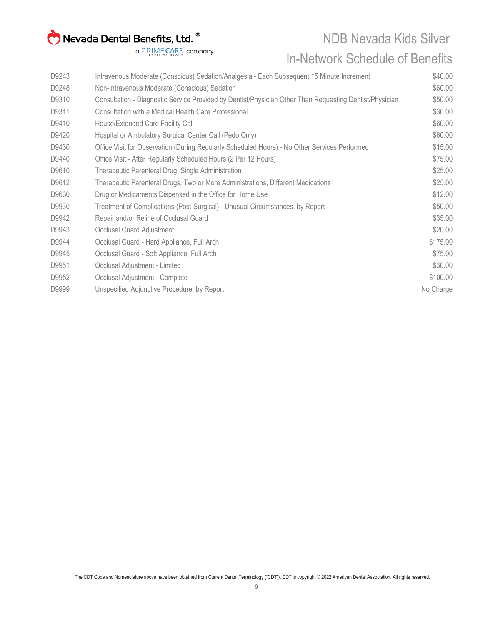NDB Nevada Kids Silver

#### In-Network Schedule of Benefits

| D9243 | Intravenous Moderate (Conscious) Sedation/Analgesia - Each Subsequent 15 Minute Increment               | \$40.00   |
|-------|---------------------------------------------------------------------------------------------------------|-----------|
| D9248 | Non-Intravenous Moderate (Conscious) Sedation                                                           | \$60.00   |
| D9310 | Consultation - Diagnostic Service Provided by Dentist/Physician Other Than Requesting Dentist/Physician | \$50.00   |
| D9311 | Consultation with a Medical Health Care Professional                                                    | \$30.00   |
| D9410 | House/Extended Care Facility Call                                                                       | \$60.00   |
| D9420 | Hospital or Ambulatory Surgical Center Call (Pedo Only)                                                 | \$60.00   |
| D9430 | Office Visit for Observation (During Regularly Scheduled Hours) - No Other Services Performed           | \$15.00   |
| D9440 | Office Visit - After Regularly Scheduled Hours (2 Per 12 Hours)                                         | \$75.00   |
| D9610 | Therapeutic Parenteral Drug, Single Administration                                                      | \$25.00   |
| D9612 | Therapeutic Parenteral Drugs, Two or More Administrations, Different Medications                        | \$25.00   |
| D9630 | Drug or Medicaments Dispensed in the Office for Home Use                                                | \$12.00   |
| D9930 | Treatment of Complications (Post-Surgical) - Unusual Circumstances, by Report                           | \$50.00   |
| D9942 | Repair and/or Reline of Occlusal Guard                                                                  | \$35.00   |
| D9943 | Occlusal Guard Adjustment                                                                               | \$20.00   |
| D9944 | Occlusal Guard - Hard Appliance, Full Arch                                                              | \$175.00  |
| D9945 | Occlusal Guard - Soft Appliance, Full Arch                                                              | \$75.00   |
| D9951 | Occlusal Adjustment - Limited                                                                           | \$30.00   |
| D9952 | Occlusal Adjustment - Complete                                                                          | \$100.00  |
| D9999 | Unspecified Adjunctive Procedure, by Report                                                             | No Charge |
|       |                                                                                                         |           |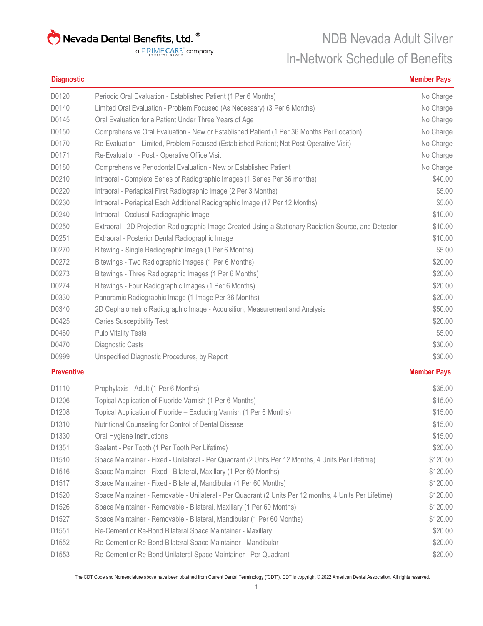a PRIMECARE<sup>"</sup> company

### NDB Nevada Adult Silver In-Network Schedule of Benefits

#### **Diagnostic Member Pays**

| D1110             | Prophylaxis - Adult (1 Per 6 Months)                                                                   | \$35.00            |
|-------------------|--------------------------------------------------------------------------------------------------------|--------------------|
| <b>Preventive</b> |                                                                                                        | <b>Member Pays</b> |
| D0999             | Unspecified Diagnostic Procedures, by Report                                                           | \$30.00            |
| D0470             | Diagnostic Casts                                                                                       | \$30.00            |
| D0460             | <b>Pulp Vitality Tests</b>                                                                             | \$5.00             |
| D0425             | <b>Caries Susceptibility Test</b>                                                                      | \$20.00            |
| D0340             | 2D Cephalometric Radiographic Image - Acquisition, Measurement and Analysis                            | \$50.00            |
| D0330             | Panoramic Radiographic Image (1 Image Per 36 Months)                                                   | \$20.00            |
| D0274             | Bitewings - Four Radiographic Images (1 Per 6 Months)                                                  | \$20.00            |
| D0273             | Bitewings - Three Radiographic Images (1 Per 6 Months)                                                 | \$20.00            |
| D0272             | Bitewings - Two Radiographic Images (1 Per 6 Months)                                                   | \$20.00            |
| D0270             | Bitewing - Single Radiographic Image (1 Per 6 Months)                                                  | \$5.00             |
| D0251             | Extraoral - Posterior Dental Radiographic Image                                                        | \$10.00            |
| D0250             | Extraoral - 2D Projection Radiographic Image Created Using a Stationary Radiation Source, and Detector | \$10.00            |
| D0240             | Intraoral - Occlusal Radiographic Image                                                                | \$10.00            |
| D0230             | Intraoral - Periapical Each Additional Radiographic Image (17 Per 12 Months)                           | \$5.00             |
| D0220             | Intraoral - Periapical First Radiographic Image (2 Per 3 Months)                                       | \$5.00             |
| D0210             | Intraoral - Complete Series of Radiographic Images (1 Series Per 36 months)                            | \$40.00            |
| D0180             | Comprehensive Periodontal Evaluation - New or Established Patient                                      | No Charge          |
| D0171             | Re-Evaluation - Post - Operative Office Visit                                                          | No Charge          |
| D0170             | Re-Evaluation - Limited, Problem Focused (Established Patient; Not Post-Operative Visit)               | No Charge          |
| D0150             | Comprehensive Oral Evaluation - New or Established Patient (1 Per 36 Months Per Location)              | No Charge          |
| D0145             | Oral Evaluation for a Patient Under Three Years of Age                                                 | No Charge          |
| D0140             | Limited Oral Evaluation - Problem Focused (As Necessary) (3 Per 6 Months)                              | No Charge          |
| D0120             | Periodic Oral Evaluation - Established Patient (1 Per 6 Months)                                        | No Charge          |

| D <sub>1110</sub> | Prophylaxis - Adult (1 Per 6 Months)                                                                   | \$35.00  |
|-------------------|--------------------------------------------------------------------------------------------------------|----------|
| D1206             | Topical Application of Fluoride Varnish (1 Per 6 Months)                                               | \$15.00  |
| D1208             | Topical Application of Fluoride – Excluding Varnish (1 Per 6 Months)                                   | \$15.00  |
| D1310             | Nutritional Counseling for Control of Dental Disease                                                   | \$15.00  |
| D1330             | Oral Hygiene Instructions                                                                              | \$15.00  |
| D1351             | Sealant - Per Tooth (1 Per Tooth Per Lifetime)                                                         | \$20.00  |
| D <sub>1510</sub> | Space Maintainer - Fixed - Unilateral - Per Quadrant (2 Units Per 12 Months, 4 Units Per Lifetime)     | \$120.00 |
| D1516             | Space Maintainer - Fixed - Bilateral, Maxillary (1 Per 60 Months)                                      | \$120.00 |
| D1517             | Space Maintainer - Fixed - Bilateral, Mandibular (1 Per 60 Months)                                     | \$120.00 |
| D <sub>1520</sub> | Space Maintainer - Removable - Unilateral - Per Quadrant (2 Units Per 12 months, 4 Units Per Lifetime) | \$120.00 |
| D <sub>1526</sub> | Space Maintainer - Removable - Bilateral, Maxillary (1 Per 60 Months)                                  | \$120.00 |
| D <sub>1527</sub> | Space Maintainer - Removable - Bilateral, Mandibular (1 Per 60 Months)                                 | \$120.00 |
| D <sub>1551</sub> | Re-Cement or Re-Bond Bilateral Space Maintainer - Maxillary                                            | \$20.00  |
| D1552             | Re-Cement or Re-Bond Bilateral Space Maintainer - Mandibular                                           | \$20.00  |
| D <sub>1553</sub> | Re-Cement or Re-Bond Unilateral Space Maintainer - Per Quadrant                                        | \$20.00  |
|                   |                                                                                                        |          |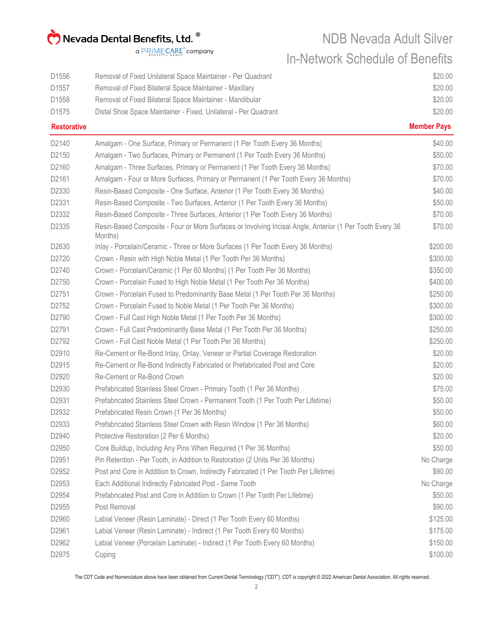NDB Nevada Adult Silver In-Network Schedule of Benefits

| D <sub>1556</sub>  | Removal of Fixed Unilateral Space Maintainer - Per Quadrant                                                         | \$20.00            |
|--------------------|---------------------------------------------------------------------------------------------------------------------|--------------------|
| D1557              | Removal of Fixed Bilateral Space Maintainer - Maxillary                                                             | \$20.00            |
| D1558              | Removal of Fixed Bilateral Space Maintainer - Mandibular                                                            | \$20.00            |
| D1575              | Distal Shoe Space Maintainer - Fixed, Unilateral - Per Quadrant                                                     | \$20.00            |
| <b>Restorative</b> |                                                                                                                     | <b>Member Pays</b> |
| D2140              | Amalgam - One Surface, Primary or Permanent (1 Per Tooth Every 36 Months)                                           | \$40.00            |
| D2150              | Amalgam - Two Surfaces, Primary or Permanent (1 Per Tooth Every 36 Months)                                          | \$50.00            |
| D2160              | Amalgam - Three Surfaces, Primary or Permanent (1 Per Tooth Every 36 Months)                                        | \$70.00            |
| D2161              | Amalgam - Four or More Surfaces, Primary or Permanent (1 Per Tooth Every 36 Months)                                 | \$70.00            |
| D2330              | Resin-Based Composite - One Surface, Anterior (1 Per Tooth Every 36 Months)                                         | \$40.00            |
| D2331              | Resin-Based Composite - Two Surfaces, Anterior (1 Per Tooth Every 36 Months)                                        | \$50.00            |
| D2332              | Resin-Based Composite - Three Surfaces, Anterior (1 Per Tooth Every 36 Months)                                      | \$70.00            |
| D2335              | Resin-Based Composite - Four or More Surfaces or Involving Incisal Angle, Anterior (1 Per Tooth Every 36<br>Months) | \$70.00            |
| D2630              | Inlay - Porcelain/Ceramic - Three or More Surfaces (1 Per Tooth Every 36 Months)                                    | \$200.00           |
| D2720              | Crown - Resin with High Noble Metal (1 Per Tooth Per 36 Months)                                                     | \$300.00           |
| D2740              | Crown - Porcelain/Ceramic (1 Per 60 Months) (1 Per Tooth Per 36 Months)                                             | \$350.00           |
| D2750              | Crown - Porcelain Fused to High Noble Metal (1 Per Tooth Per 36 Months)                                             | \$400.00           |
| D2751              | Crown - Porcelain Fused to Predominantly Base Metal (1 Per Tooth Per 36 Months)                                     | \$250.00           |
| D2752              | Crown - Porcelain Fused to Noble Metal (1 Per Tooth Per 36 Months)                                                  | \$300.00           |
| D2790              | Crown - Full Cast High Noble Metal (1 Per Tooth Per 36 Months)                                                      | \$300.00           |
| D2791              | Crown - Full Cast Predominantly Base Metal (1 Per Tooth Per 36 Months)                                              | \$250.00           |
| D2792              | Crown - Full Cast Noble Metal (1 Per Tooth Per 36 Months)                                                           | \$250.00           |
| D2910              | Re-Cement or Re-Bond Inlay, Onlay, Veneer or Partial Coverage Restoration                                           | \$20.00            |
| D2915              | Re-Cement or Re-Bond Indirectly Fabricated or Prefabricated Post and Core                                           | \$20.00            |
| D2920              | Re-Cement or Re-Bond Crown                                                                                          | \$20.00            |
| D2930              | Prefabricated Stainless Steel Crown - Primary Tooth (1 Per 36 Months)                                               | \$75.00            |
| D2931              | Prefabricated Stainless Steel Crown - Permanent Tooth (1 Per Tooth Per Lifetime)                                    | \$50.00            |
| D2932              | Prefabricated Resin Crown (1 Per 36 Months)                                                                         | \$50.00            |
| D2933              | Prefabricated Stainless Steel Crown with Resin Window (1 Per 36 Months)                                             | \$60.00            |
| D2940              | Protective Restoration (2 Per 6 Months)                                                                             | \$20.00            |
| D2950              | Core Buildup, Including Any Pins When Required (1 Per 36 Months)                                                    | \$50.00            |
| D2951              | Pin Retention - Per Tooth, in Addition to Restoration (2 Units Per 36 Months)                                       | No Charge          |
| D2952              | Post and Core in Addition to Crown, Indirectly Fabricated (1 Per Tooth Per Lifetime)                                | \$90.00            |
| D2953              | Each Additional Indirectly Fabricated Post - Same Tooth                                                             | No Charge          |
| D2954              | Prefabricated Post and Core in Addition to Crown (1 Per Tooth Per Lifetime)                                         | \$50.00            |
| D2955              | Post Removal                                                                                                        | \$90.00            |
| D2960              | Labial Veneer (Resin Laminate) - Direct (1 Per Tooth Every 60 Months)                                               | \$125.00           |
| D2961              | Labial Veneer (Resin Laminate) - Indirect (1 Per Tooth Every 60 Months)                                             | \$175.00           |
| D2962              | Labial Veneer (Porcelain Laminate) - Indirect (1 Per Tooth Every 60 Months)                                         | \$150.00           |
| D2975              | Coping                                                                                                              | \$100.00           |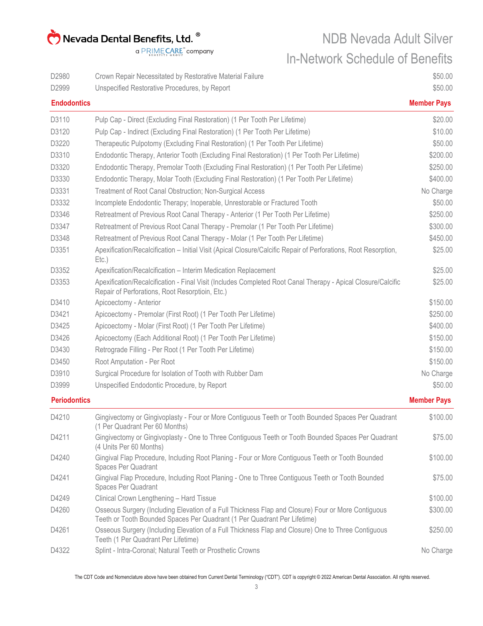NDB Nevada Adult Silver In-Network Schedule of Benefits

| D2980               | Crown Repair Necessitated by Restorative Material Failure                                                                                                                      | \$50.00            |
|---------------------|--------------------------------------------------------------------------------------------------------------------------------------------------------------------------------|--------------------|
| D2999               | Unspecified Restorative Procedures, by Report                                                                                                                                  | \$50.00            |
| <b>Endodontics</b>  |                                                                                                                                                                                | <b>Member Pays</b> |
| D3110               | Pulp Cap - Direct (Excluding Final Restoration) (1 Per Tooth Per Lifetime)                                                                                                     | \$20.00            |
| D3120               | Pulp Cap - Indirect (Excluding Final Restoration) (1 Per Tooth Per Lifetime)                                                                                                   | \$10.00            |
| D3220               | Therapeutic Pulpotomy (Excluding Final Restoration) (1 Per Tooth Per Lifetime)                                                                                                 | \$50.00            |
| D3310               | Endodontic Therapy, Anterior Tooth (Excluding Final Restoration) (1 Per Tooth Per Lifetime)                                                                                    | \$200.00           |
| D3320               | Endodontic Therapy, Premolar Tooth (Excluding Final Restoration) (1 Per Tooth Per Lifetime)                                                                                    | \$250.00           |
| D3330               | Endodontic Therapy, Molar Tooth (Excluding Final Restoration) (1 Per Tooth Per Lifetime)                                                                                       | \$400.00           |
| D3331               | Treatment of Root Canal Obstruction; Non-Surgical Access                                                                                                                       | No Charge          |
| D3332               | Incomplete Endodontic Therapy; Inoperable, Unrestorable or Fractured Tooth                                                                                                     | \$50.00            |
| D3346               | Retreatment of Previous Root Canal Therapy - Anterior (1 Per Tooth Per Lifetime)                                                                                               | \$250.00           |
| D3347               | Retreatment of Previous Root Canal Therapy - Premolar (1 Per Tooth Per Lifetime)                                                                                               | \$300.00           |
| D3348               | Retreatment of Previous Root Canal Therapy - Molar (1 Per Tooth Per Lifetime)                                                                                                  | \$450.00           |
| D3351               | Apexification/Recalcification - Initial Visit (Apical Closure/Calcific Repair of Perforations, Root Resorption,<br>$Etc.$ )                                                    | \$25.00            |
| D3352               | Apexification/Recalcification - Interim Medication Replacement                                                                                                                 | \$25.00            |
| D3353               | Apexification/Recalcification - Final Visit (Includes Completed Root Canal Therapy - Apical Closure/Calcific<br>Repair of Perforations, Root Resorptioin, Etc.)                | \$25.00            |
| D3410               | Apicoectomy - Anterior                                                                                                                                                         | \$150.00           |
| D3421               | Apicoectomy - Premolar (First Root) (1 Per Tooth Per Lifetime)                                                                                                                 | \$250.00           |
| D3425               | Apicoectomy - Molar (First Root) (1 Per Tooth Per Lifetime)                                                                                                                    | \$400.00           |
| D3426               | Apicoectomy (Each Additional Root) (1 Per Tooth Per Lifetime)                                                                                                                  | \$150.00           |
| D3430               | Retrograde Filling - Per Root (1 Per Tooth Per Lifetime)                                                                                                                       | \$150.00           |
| D3450               | Root Amputation - Per Root                                                                                                                                                     | \$150.00           |
| D3910               | Surgical Procedure for Isolation of Tooth with Rubber Dam                                                                                                                      | No Charge          |
| D3999               | Unspecified Endodontic Procedure, by Report                                                                                                                                    | \$50.00            |
| <b>Periodontics</b> |                                                                                                                                                                                | <b>Member Pays</b> |
| D4210               | Gingivectomy or Gingivoplasty - Four or More Contiguous Teeth or Tooth Bounded Spaces Per Quadrant<br>(1 Per Quadrant Per 60 Months)                                           | \$100.00           |
| D4211               | Gingivectomy or Gingivoplasty - One to Three Contiguous Teeth or Tooth Bounded Spaces Per Quadrant<br>(4 Units Per 60 Months)                                                  | \$75.00            |
| D4240               | Gingival Flap Procedure, Including Root Planing - Four or More Contiguous Teeth or Tooth Bounded<br>Spaces Per Quadrant                                                        | \$100.00           |
| D4241               | Gingival Flap Procedure, Including Root Planing - One to Three Contiguous Teeth or Tooth Bounded<br>Spaces Per Quadrant                                                        | \$75.00            |
| D4249               | Clinical Crown Lengthening - Hard Tissue                                                                                                                                       | \$100.00           |
| D4260               | Osseous Surgery (Including Elevation of a Full Thickness Flap and Closure) Four or More Contiguous<br>Teeth or Tooth Bounded Spaces Per Quadrant (1 Per Quadrant Per Lifetime) | \$300.00           |
| D4261               | Osseous Surgery (Including Elevation of a Full Thickness Flap and Closure) One to Three Contiguous<br>Teeth (1 Per Quadrant Per Lifetime)                                      | \$250.00           |
| D4322               | Splint - Intra-Coronal; Natural Teeth or Prosthetic Crowns                                                                                                                     | No Charge          |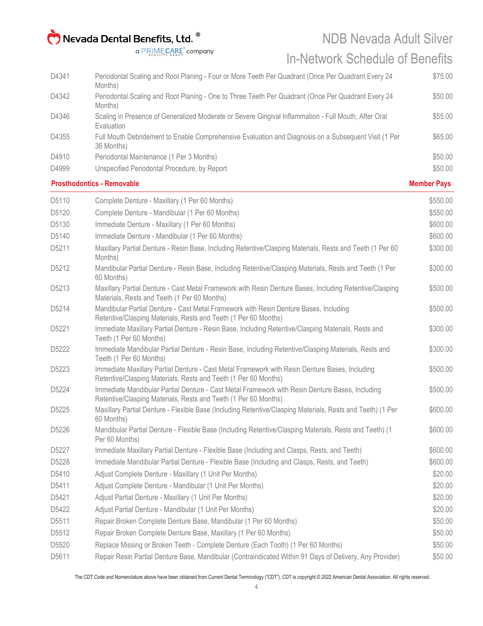#### NDB Nevada Adult Silver In-Network Schedule of Benefits

|       | <b>Prosthodontics - Removable</b>                                                                                  | <b>Member Pays</b> |
|-------|--------------------------------------------------------------------------------------------------------------------|--------------------|
| D4999 | Unspecified Periodontal Procedure, by Report                                                                       | \$50.00            |
| D4910 | Periodontal Maintenance (1 Per 3 Months)                                                                           | \$50.00            |
| D4355 | Full Mouth Debridement to Enable Comprehensive Evaluation and Diagnosis on a Subsequent Visit (1 Per<br>36 Months) | \$65.00            |
| D4346 | Scaling in Presence of Generalized Moderate or Severe Gingival Inflammation - Full Mouth, After Oral<br>Evaluation | \$55.00            |
| D4342 | Periodontal Scaling and Root Planing - One to Three Teeth Per Quadrant (Once Per Quadrant Every 24<br>Months)      | \$50.00            |
| D4341 | Periodontal Scaling and Root Planing - Four or More Teeth Per Quadrant (Once Per Quadrant Every 24<br>Months)      | \$75.00            |
|       |                                                                                                                    |                    |

| D5110 | Complete Denture - Maxillary (1 Per 60 Months)                                                                                                                     | \$550.00 |
|-------|--------------------------------------------------------------------------------------------------------------------------------------------------------------------|----------|
| D5120 | Complete Denture - Mandibular (1 Per 60 Months)                                                                                                                    | \$550.00 |
| D5130 | Immediate Denture - Maxillary (1 Per 60 Months)                                                                                                                    | \$600.00 |
| D5140 | Immediate Denture - Mandibular (1 Per 60 Months)                                                                                                                   | \$600.00 |
| D5211 | Maxillary Partial Denture - Resin Base, Including Retentive/Clasping Materials, Rests and Teeth (1 Per 60<br>Months)                                               | \$300.00 |
| D5212 | Mandibular Partial Denture - Resin Base, Including Retentive/Clasping Materials, Rests and Teeth (1 Per<br>60 Months)                                              | \$300.00 |
| D5213 | Maxillary Partial Denture - Cast Metal Framework with Resin Denture Bases, Including Retentive/Clasping<br>Materials, Rests and Teeth (1 Per 60 Months)            | \$500.00 |
| D5214 | Mandibular Partial Denture - Cast Metal Framework with Resin Denture Bases, Including<br>Retentive/Clasping Materials, Rests and Teeth (1 Per 60 Months)           | \$500.00 |
| D5221 | Immediate Maxillary Partial Denture - Resin Base, Including Retentive/Clasping Materials, Rests and<br>Teeth (1 Per 60 Months)                                     | \$300.00 |
| D5222 | Immediate Mandibular Partial Denture - Resin Base, Including Retentive/Clasping Materials, Rests and<br>Teeth (1 Per 60 Months)                                    | \$300.00 |
| D5223 | Immediate Maxillary Partial Denture - Cast Metal Framework with Resin Denture Bases, Including<br>Retentive/Clasping Materials, Rests and Teeth (1 Per 60 Months)  | \$500.00 |
| D5224 | Immediate Mandibular Partial Denture - Cast Metal Framework with Resin Denture Bases, Including<br>Retentive/Clasping Materials, Rests and Teeth (1 Per 60 Months) | \$500.00 |
| D5225 | Maxillary Partial Denture - Flexible Base (Including Retentive/Clasping Materials, Rests and Teeth) (1 Per<br>60 Months)                                           | \$600.00 |
| D5226 | Mandibular Partial Denture - Flexible Base (Including Retentive/Clasping Materials, Rests and Teeth) (1<br>Per 60 Months)                                          | \$600.00 |
| D5227 | Immediate Maxillary Partial Denture - Flexible Base (Including and Clasps, Rests, and Teeth)                                                                       | \$600.00 |
| D5228 | Immediate Mandibular Partial Denture - Flexible Base (Including and Clasps, Rests, and Teeth)                                                                      | \$600.00 |
| D5410 | Adjust Complete Denture - Maxillary (1 Unit Per Months)                                                                                                            | \$20.00  |
| D5411 | Adjust Complete Denture - Mandibular (1 Unit Per Months)                                                                                                           | \$20.00  |
| D5421 | Adjust Partial Denture - Maxillary (1 Unit Per Months)                                                                                                             | \$20.00  |
| D5422 | Adjust Partial Denture - Mandibular (1 Unit Per Months)                                                                                                            | \$20.00  |
| D5511 | Repair Broken Complete Denture Base, Mandibular (1 Per 60 Months)                                                                                                  | \$50.00  |
| D5512 | Repair Broken Complete Denture Base, Maxillary (1 Per 60 Months)                                                                                                   | \$50.00  |
| D5520 | Replace Missing or Broken Teeth - Complete Denture (Each Tooth) (1 Per 60 Months)                                                                                  | \$50.00  |
| D5611 | Repair Resin Partial Denture Base, Mandibular (Contraindicated Within 91 Days of Delivery, Any Provider)                                                           | \$50.00  |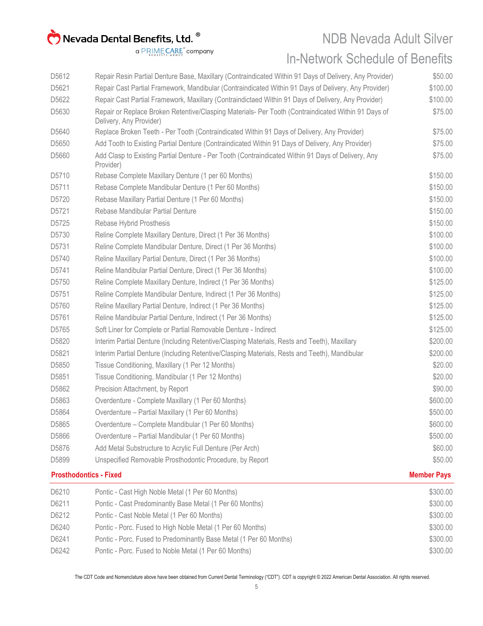#### NDB Nevada Adult Silver In-Network Schedule of Benefits

| D6210 | Pontic - Cast High Noble Metal (1 Per 60 Months)                                                                               | \$300.00           |
|-------|--------------------------------------------------------------------------------------------------------------------------------|--------------------|
|       | <b>Prosthodontics - Fixed</b>                                                                                                  | <b>Member Pays</b> |
| D5899 | Unspecified Removable Prosthodontic Procedure, by Report                                                                       | \$50.00            |
| D5876 | Add Metal Substructure to Acrylic Full Denture (Per Arch)                                                                      | \$60.00            |
| D5866 | Overdenture - Partial Mandibular (1 Per 60 Months)                                                                             | \$500.00           |
| D5865 | Overdenture – Complete Mandibular (1 Per 60 Months)                                                                            | \$600.00           |
| D5864 | Overdenture - Partial Maxillary (1 Per 60 Months)                                                                              | \$500.00           |
| D5863 | Overdenture - Complete Maxillary (1 Per 60 Months)                                                                             | \$600.00           |
| D5862 | Precision Attachment, by Report                                                                                                | \$90.00            |
| D5851 | Tissue Conditioning, Mandibular (1 Per 12 Months)                                                                              | \$20.00            |
| D5850 | Tissue Conditioning, Maxillary (1 Per 12 Months)                                                                               | \$20.00            |
| D5821 | Interim Partial Denture (Including Retentive/Clasping Materials, Rests and Teeth), Mandibular                                  | \$200.00           |
| D5820 | Interim Partial Denture (Including Retentive/Clasping Materials, Rests and Teeth), Maxillary                                   | \$200.00           |
| D5765 | Soft Liner for Complete or Partial Removable Denture - Indirect                                                                | \$125.00           |
| D5761 | Reline Mandibular Partial Denture, Indirect (1 Per 36 Months)                                                                  | \$125.00           |
| D5760 | Reline Maxillary Partial Denture, Indirect (1 Per 36 Months)                                                                   | \$125.00           |
| D5751 | Reline Complete Mandibular Denture, Indirect (1 Per 36 Months)                                                                 | \$125.00           |
| D5750 | Reline Complete Maxillary Denture, Indirect (1 Per 36 Months)                                                                  | \$125.00           |
| D5741 | Reline Mandibular Partial Denture, Direct (1 Per 36 Months)                                                                    | \$100.00           |
| D5740 | Reline Maxillary Partial Denture, Direct (1 Per 36 Months)                                                                     | \$100.00           |
| D5731 | Reline Complete Mandibular Denture, Direct (1 Per 36 Months)                                                                   | \$100.00           |
| D5730 | Reline Complete Maxillary Denture, Direct (1 Per 36 Months)                                                                    | \$100.00           |
| D5725 | Rebase Hybrid Prosthesis                                                                                                       | \$150.00           |
| D5721 | Rebase Mandibular Partial Denture                                                                                              | \$150.00           |
| D5720 | Rebase Maxillary Partial Denture (1 Per 60 Months)                                                                             | \$150.00           |
| D5711 | Rebase Complete Mandibular Denture (1 Per 60 Months)                                                                           | \$150.00           |
| D5710 | Rebase Complete Maxillary Denture (1 per 60 Months)                                                                            | \$150.00           |
| D5660 | Add Clasp to Existing Partial Denture - Per Tooth (Contraindicated Within 91 Days of Delivery, Any<br>Provider)                | \$75.00            |
| D5650 | Add Tooth to Existing Partial Denture (Contraindicated Within 91 Days of Delivery, Any Provider)                               | \$75.00            |
| D5640 | Replace Broken Teeth - Per Tooth (Contraindicated Within 91 Days of Delivery, Any Provider)                                    | \$75.00            |
| D5630 | Repair or Replace Broken Retentive/Clasping Materials- Per Tooth (Contraindicated Within 91 Days of<br>Delivery, Any Provider) | \$75.00            |
| D5622 | Repair Cast Partial Framework, Maxillary (Contraindictaed Within 91 Days of Delivery, Any Provider)                            | \$100.00           |
| D5621 | Repair Cast Partial Framework, Mandibular (Contraindicated Within 91 Days of Delivery, Any Provider)                           | \$100.00           |
| D5612 | Repair Resin Partial Denture Base, Maxillary (Contraindicated Within 91 Days of Delivery, Any Provider)                        | \$50.00            |
|       |                                                                                                                                |                    |

| D6210 | Pontic - Cast High Noble Metal (1 Per 60 Months)                   | \$300.00 |
|-------|--------------------------------------------------------------------|----------|
| D6211 | Pontic - Cast Predominantly Base Metal (1 Per 60 Months)           | \$300.00 |
| D6212 | Pontic - Cast Noble Metal (1 Per 60 Months)                        | \$300.00 |
| D6240 | Pontic - Porc. Fused to High Noble Metal (1 Per 60 Months)         | \$300.00 |
| D6241 | Pontic - Porc. Fused to Predominantly Base Metal (1 Per 60 Months) | \$300.00 |
| D6242 | Pontic - Porc. Fused to Noble Metal (1 Per 60 Months)              | \$300.00 |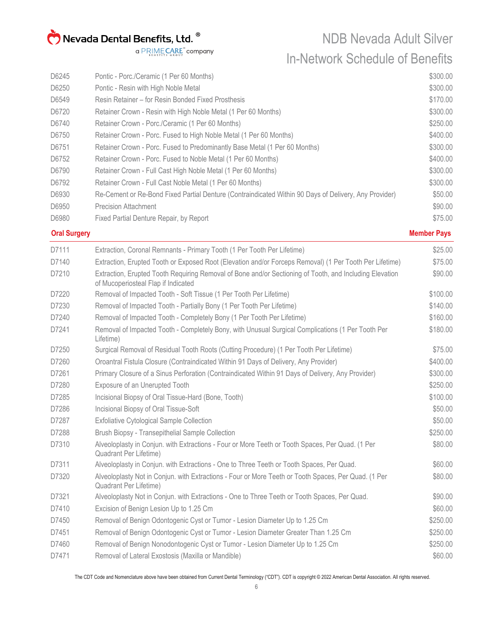NDB Nevada Adult Silver In-Network Schedule of Benefits

| D6245 | Pontic - Porc./Ceramic (1 Per 60 Months)                                                              | \$300.00 |
|-------|-------------------------------------------------------------------------------------------------------|----------|
| D6250 | Pontic - Resin with High Noble Metal                                                                  | \$300.00 |
| D6549 | Resin Retainer – for Resin Bonded Fixed Prosthesis                                                    | \$170.00 |
| D6720 | Retainer Crown - Resin with High Noble Metal (1 Per 60 Months)                                        | \$300.00 |
| D6740 | Retainer Crown - Porc./Ceramic (1 Per 60 Months)                                                      | \$250.00 |
| D6750 | Retainer Crown - Porc. Fused to High Noble Metal (1 Per 60 Months)                                    | \$400.00 |
| D6751 | Retainer Crown - Porc. Fused to Predominantly Base Metal (1 Per 60 Months)                            | \$300.00 |
| D6752 | Retainer Crown - Porc. Fused to Noble Metal (1 Per 60 Months)                                         | \$400.00 |
| D6790 | Retainer Crown - Full Cast High Noble Metal (1 Per 60 Months)                                         | \$300.00 |
| D6792 | Retainer Crown - Full Cast Noble Metal (1 Per 60 Months)                                              | \$300.00 |
| D6930 | Re-Cement or Re-Bond Fixed Partial Denture (Contraindicated Within 90 Days of Delivery, Any Provider) | \$50.00  |
| D6950 | <b>Precision Attachment</b>                                                                           | \$90.00  |
| D6980 | Fixed Partial Denture Repair, by Report                                                               | \$75.00  |

#### **Oral Surgery Member Pays**

| D7111 | Extraction, Coronal Remnants - Primary Tooth (1 Per Tooth Per Lifetime)                                                                        | \$25.00  |
|-------|------------------------------------------------------------------------------------------------------------------------------------------------|----------|
| D7140 | Extraction, Erupted Tooth or Exposed Root (Elevation and/or Forceps Removal) (1 Per Tooth Per Lifetime)                                        | \$75.00  |
| D7210 | Extraction, Erupted Tooth Requiring Removal of Bone and/or Sectioning of Tooth, and Including Elevation<br>of Mucoperiosteal Flap if Indicated | \$90.00  |
| D7220 | Removal of Impacted Tooth - Soft Tissue (1 Per Tooth Per Lifetime)                                                                             | \$100.00 |
| D7230 | Removal of Impacted Tooth - Partially Bony (1 Per Tooth Per Lifetime)                                                                          | \$140.00 |
| D7240 | Removal of Impacted Tooth - Completely Bony (1 Per Tooth Per Lifetime)                                                                         | \$160.00 |
| D7241 | Removal of Impacted Tooth - Completely Bony, with Unusual Surgical Complications (1 Per Tooth Per<br>Lifetime)                                 | \$180.00 |
| D7250 | Surgical Removal of Residual Tooth Roots (Cutting Procedure) (1 Per Tooth Per Lifetime)                                                        | \$75.00  |
| D7260 | Oroantral Fistula Closure (Contraindicated Within 91 Days of Delivery, Any Provider)                                                           | \$400.00 |
| D7261 | Primary Closure of a Sinus Perforation (Contraindicated Within 91 Days of Delivery, Any Provider)                                              | \$300.00 |
| D7280 | Exposure of an Unerupted Tooth                                                                                                                 | \$250.00 |
| D7285 | Incisional Biopsy of Oral Tissue-Hard (Bone, Tooth)                                                                                            | \$100.00 |
| D7286 | Incisional Biopsy of Oral Tissue-Soft                                                                                                          | \$50.00  |
| D7287 | <b>Exfoliative Cytological Sample Collection</b>                                                                                               | \$50.00  |
| D7288 | Brush Biopsy - Transepithelial Sample Collection                                                                                               | \$250.00 |
| D7310 | Alveoloplasty in Conjun. with Extractions - Four or More Teeth or Tooth Spaces, Per Quad. (1 Per<br><b>Quadrant Per Lifetime)</b>              | \$80.00  |
| D7311 | Alveoloplasty in Conjun. with Extractions - One to Three Teeth or Tooth Spaces, Per Quad.                                                      | \$60.00  |
| D7320 | Alveoloplasty Not in Conjun. with Extractions - Four or More Teeth or Tooth Spaces, Per Quad. (1 Per<br>Quadrant Per Lifetime)                 | \$80.00  |
| D7321 | Alveoloplasty Not in Conjun. with Extractions - One to Three Teeth or Tooth Spaces, Per Quad.                                                  | \$90.00  |
| D7410 | Excision of Benign Lesion Up to 1.25 Cm                                                                                                        | \$60.00  |
| D7450 | Removal of Benign Odontogenic Cyst or Tumor - Lesion Diameter Up to 1.25 Cm                                                                    | \$250.00 |
| D7451 | Removal of Benign Odontogenic Cyst or Tumor - Lesion Diameter Greater Than 1.25 Cm                                                             | \$250.00 |
| D7460 | Removal of Benign Nonodontogenic Cyst or Tumor - Lesion Diameter Up to 1.25 Cm                                                                 | \$250.00 |
| D7471 | Removal of Lateral Exostosis (Maxilla or Mandible)                                                                                             | \$60.00  |